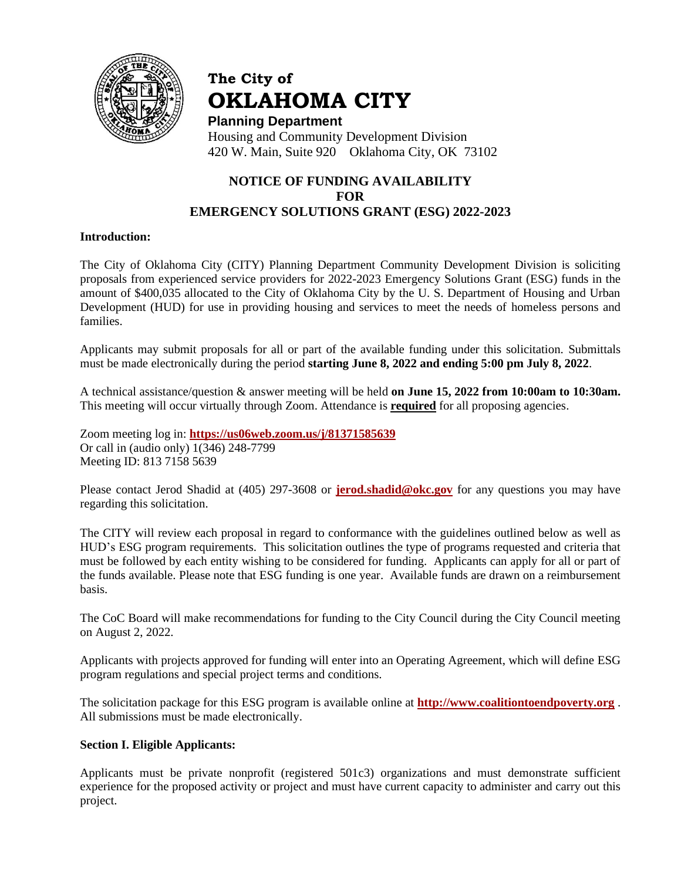

# **The City of OKLAHOMA CITY**

**Planning Department** Housing and Community Development Division 420 W. Main, Suite 920 Oklahoma City, OK 73102

# **NOTICE OF FUNDING AVAILABILITY FOR EMERGENCY SOLUTIONS GRANT (ESG) 2022-2023**

#### **Introduction:**

The City of Oklahoma City (CITY) Planning Department Community Development Division is soliciting proposals from experienced service providers for 2022-2023 Emergency Solutions Grant (ESG) funds in the amount of \$400,035 allocated to the City of Oklahoma City by the U. S. Department of Housing and Urban Development (HUD) for use in providing housing and services to meet the needs of homeless persons and families.

Applicants may submit proposals for all or part of the available funding under this solicitation. Submittals must be made electronically during the period **starting June 8, 2022 and ending 5:00 pm July 8, 2022**.

A technical assistance/question & answer meeting will be held **on June 15, 2022 from 10:00am to 10:30am.**  This meeting will occur virtually through Zoom. Attendance is **required** for all proposing agencies.

Zoom meeting log in: **<https://us06web.zoom.us/j/81371585639>** Or call in (audio only) 1(346) 248-7799 Meeting ID: 813 7158 5639

Please contact Jerod Shadid at (405) 297-3608 or **[jerod.shadid@okc.gov](mailto:jerod.shadid@okc.gov)** for any questions you may have regarding this solicitation.

The CITY will review each proposal in regard to conformance with the guidelines outlined below as well as HUD's ESG program requirements. This solicitation outlines the type of programs requested and criteria that must be followed by each entity wishing to be considered for funding. Applicants can apply for all or part of the funds available. Please note that ESG funding is one year. Available funds are drawn on a reimbursement basis.

The CoC Board will make recommendations for funding to the City Council during the City Council meeting on August 2, 2022.

Applicants with projects approved for funding will enter into an Operating Agreement, which will define ESG program regulations and special project terms and conditions.

The solicitation package for this ESG program is available online at **[http://www.coalitiontoendpoverty.org](http://www.coalitiontoendpoverty.org/)** . All submissions must be made electronically.

#### **Section I. Eligible Applicants:**

Applicants must be private nonprofit (registered 501c3) organizations and must demonstrate sufficient experience for the proposed activity or project and must have current capacity to administer and carry out this project.